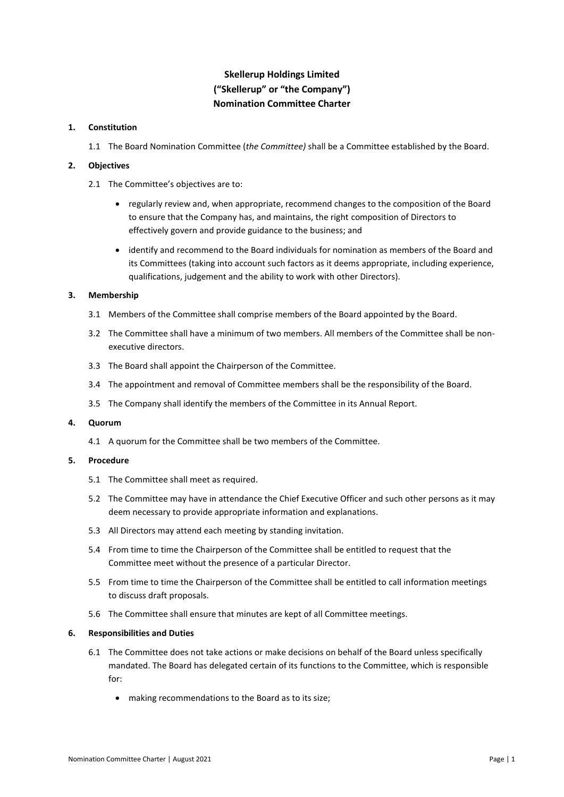# **Skellerup Holdings Limited ("Skellerup" or "the Company") Nomination Committee Charter**

#### **1. Constitution**

1.1 The Board Nomination Committee (*the Committee)* shall be a Committee established by the Board.

#### **2. Objectives**

- 2.1 The Committee's objectives are to:
	- regularly review and, when appropriate, recommend changes to the composition of the Board to ensure that the Company has, and maintains, the right composition of Directors to effectively govern and provide guidance to the business; and
	- identify and recommend to the Board individuals for nomination as members of the Board and its Committees (taking into account such factors as it deems appropriate, including experience, qualifications, judgement and the ability to work with other Directors).

### **3. Membership**

- 3.1 Members of the Committee shall comprise members of the Board appointed by the Board.
- 3.2 The Committee shall have a minimum of two members. All members of the Committee shall be nonexecutive directors.
- 3.3 The Board shall appoint the Chairperson of the Committee.
- 3.4 The appointment and removal of Committee members shall be the responsibility of the Board.
- 3.5 The Company shall identify the members of the Committee in its Annual Report.

#### **4. Quorum**

4.1 A quorum for the Committee shall be two members of the Committee.

#### **5. Procedure**

- 5.1 The Committee shall meet as required.
- 5.2 The Committee may have in attendance the Chief Executive Officer and such other persons as it may deem necessary to provide appropriate information and explanations.
- 5.3 All Directors may attend each meeting by standing invitation.
- 5.4 From time to time the Chairperson of the Committee shall be entitled to request that the Committee meet without the presence of a particular Director.
- 5.5 From time to time the Chairperson of the Committee shall be entitled to call information meetings to discuss draft proposals.
- 5.6 The Committee shall ensure that minutes are kept of all Committee meetings.

#### **6. Responsibilities and Duties**

- 6.1 The Committee does not take actions or make decisions on behalf of the Board unless specifically mandated. The Board has delegated certain of its functions to the Committee, which is responsible for:
	- making recommendations to the Board as to its size;